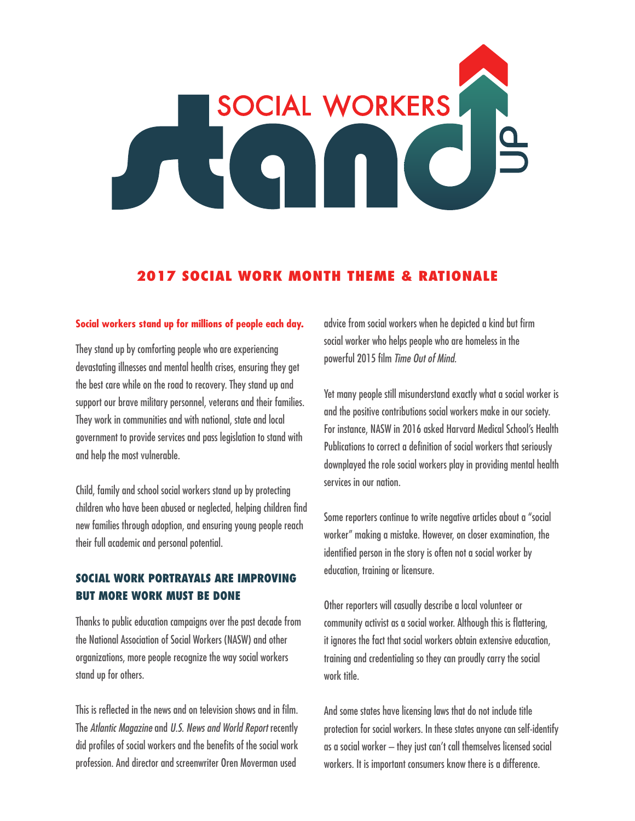# SOCIAL WORKERS

# **2017 SOCIAL WORK MONTH THEME & RATIONALE**

### **Social workers stand up for millions of people each day.**

They stand up by comforting people who are experiencing devastating illnesses and mental health crises, ensuring they get the best care while on the road to recovery. They stand up and support our brave military personnel, veterans and their families. They work in communities and with national, state and local government to provide services and pass legislation to stand with and help the most vulnerable.

Child, family and school social workers stand up by protecting children who have been abused or neglected, helping children find new families through adoption, and ensuring young people reach their full academic and personal potential.

# **SOCIAL WORK PORTRAYALS ARE IMPROVING BUT MORE WORK MUST BE DONE**

Thanks to public education campaigns over the past decade from the National Association of Social Workers (NASW) and other organizations, more people recognize the way social workers stand up for others.

This is reflected in the news and on television shows and in film. The *Atlantic Magazine* and *U.S. News and World Report* recently did profiles of social workers and the benefits of the social work profession. And director and screenwriter Oren Moverman used

advice from social workers when he depicted a kind but firm social worker who helps people who are homeless in the powerful 2015 film *Time Out of Mind.*

Yet many people still misunderstand exactly what a social worker is and the positive contributions social workers make in our society. For instance, NASW in 2016 asked Harvard Medical School's Health Publications to correct a definition of social workers that seriously downplayed the role social workers play in providing mental health services in our nation.

Some reporters continue to write negative articles about a "social worker" making a mistake. However, on closer examination, the identified person in the story is often not a social worker by education, training or licensure.

Other reporters will casually describe a local volunteer or community activist as a social worker. Although this is flattering, it ignores the fact that social workers obtain extensive education, training and credentialing so they can proudly carry the social work title.

And some states have licensing laws that do not include title protection for social workers. In these states anyone can self-identify as a social worker – they just can't call themselves licensed social workers. It is important consumers know there is a difference.